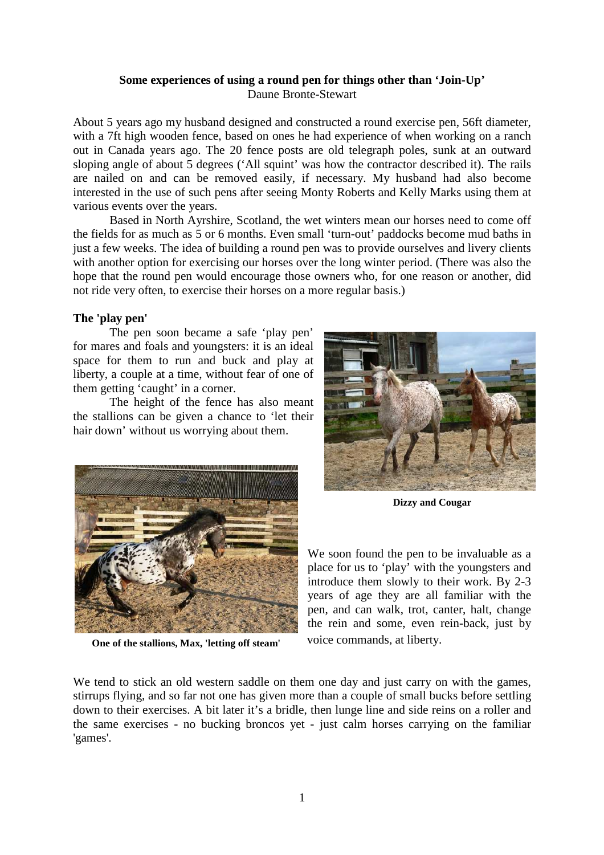## **Some experiences of using a round pen for things other than 'Join-Up'**  Daune Bronte-Stewart

About 5 years ago my husband designed and constructed a round exercise pen, 56ft diameter, with a 7ft high wooden fence, based on ones he had experience of when working on a ranch out in Canada years ago. The 20 fence posts are old telegraph poles, sunk at an outward sloping angle of about 5 degrees ('All squint' was how the contractor described it). The rails are nailed on and can be removed easily, if necessary. My husband had also become interested in the use of such pens after seeing Monty Roberts and Kelly Marks using them at various events over the years.

Based in North Ayrshire, Scotland, the wet winters mean our horses need to come off the fields for as much as 5 or 6 months. Even small 'turn-out' paddocks become mud baths in just a few weeks. The idea of building a round pen was to provide ourselves and livery clients with another option for exercising our horses over the long winter period. (There was also the hope that the round pen would encourage those owners who, for one reason or another, did not ride very often, to exercise their horses on a more regular basis.)

# **The 'play pen'**

The pen soon became a safe 'play pen' for mares and foals and youngsters: it is an ideal space for them to run and buck and play at liberty, a couple at a time, without fear of one of them getting 'caught' in a corner.

The height of the fence has also meant the stallions can be given a chance to 'let their hair down' without us worrying about them.



**One of the stallions, Max, 'letting off steam'** 



**Dizzy and Cougar** 

We soon found the pen to be invaluable as a place for us to 'play' with the youngsters and introduce them slowly to their work. By 2-3 years of age they are all familiar with the pen, and can walk, trot, canter, halt, change the rein and some, even rein-back, just by voice commands, at liberty.

We tend to stick an old western saddle on them one day and just carry on with the games, stirrups flying, and so far not one has given more than a couple of small bucks before settling down to their exercises. A bit later it's a bridle, then lunge line and side reins on a roller and the same exercises - no bucking broncos yet - just calm horses carrying on the familiar 'games'.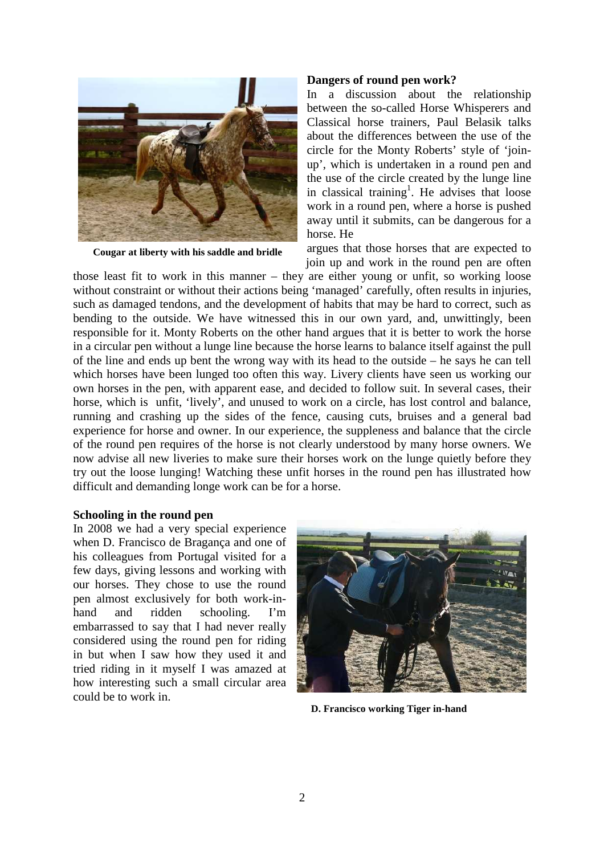

**Cougar at liberty with his saddle and bridle** 

#### **Dangers of round pen work?**

In a discussion about the relationship between the so-called Horse Whisperers and Classical horse trainers, Paul Belasik talks about the differences between the use of the circle for the Monty Roberts' style of 'joinup', which is undertaken in a round pen and the use of the circle created by the lunge line in classical training<sup>1</sup>. He advises that loose work in a round pen, where a horse is pushed away until it submits, can be dangerous for a horse. He

argues that those horses that are expected to join up and work in the round pen are often

those least fit to work in this manner – they are either young or unfit, so working loose without constraint or without their actions being 'managed' carefully, often results in injuries, such as damaged tendons, and the development of habits that may be hard to correct, such as bending to the outside. We have witnessed this in our own yard, and, unwittingly, been responsible for it. Monty Roberts on the other hand argues that it is better to work the horse in a circular pen without a lunge line because the horse learns to balance itself against the pull of the line and ends up bent the wrong way with its head to the outside – he says he can tell which horses have been lunged too often this way. Livery clients have seen us working our own horses in the pen, with apparent ease, and decided to follow suit. In several cases, their horse, which is unfit, 'lively', and unused to work on a circle, has lost control and balance, running and crashing up the sides of the fence, causing cuts, bruises and a general bad experience for horse and owner. In our experience, the suppleness and balance that the circle of the round pen requires of the horse is not clearly understood by many horse owners. We now advise all new liveries to make sure their horses work on the lunge quietly before they try out the loose lunging! Watching these unfit horses in the round pen has illustrated how difficult and demanding longe work can be for a horse.

## **Schooling in the round pen**

In 2008 we had a very special experience when D. Francisco de Bragança and one of his colleagues from Portugal visited for a few days, giving lessons and working with our horses. They chose to use the round pen almost exclusively for both work-inhand and ridden schooling. I'm embarrassed to say that I had never really considered using the round pen for riding in but when I saw how they used it and tried riding in it myself I was amazed at how interesting such a small circular area could be to work in.



**D. Francisco working Tiger in-hand**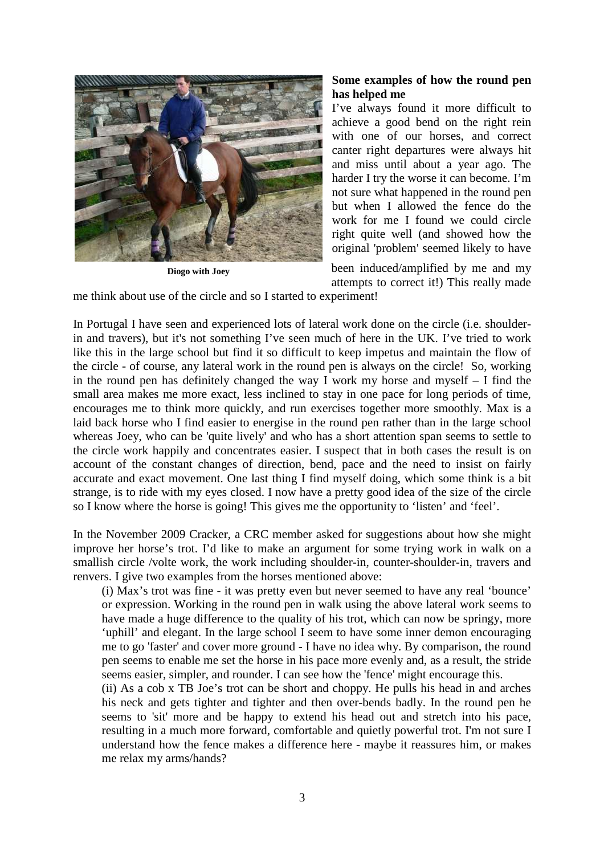

**Diogo with Joey**

# **Some examples of how the round pen has helped me**

I've always found it more difficult to achieve a good bend on the right rein with one of our horses, and correct canter right departures were always hit and miss until about a year ago. The harder I try the worse it can become. I'm not sure what happened in the round pen but when I allowed the fence do the work for me I found we could circle right quite well (and showed how the original 'problem' seemed likely to have

been induced/amplified by me and my attempts to correct it!) This really made

me think about use of the circle and so I started to experiment!

In Portugal I have seen and experienced lots of lateral work done on the circle (i.e. shoulderin and travers), but it's not something I've seen much of here in the UK. I've tried to work like this in the large school but find it so difficult to keep impetus and maintain the flow of the circle - of course, any lateral work in the round pen is always on the circle! So, working in the round pen has definitely changed the way I work my horse and myself – I find the small area makes me more exact, less inclined to stay in one pace for long periods of time, encourages me to think more quickly, and run exercises together more smoothly. Max is a laid back horse who I find easier to energise in the round pen rather than in the large school whereas Joey, who can be 'quite lively' and who has a short attention span seems to settle to the circle work happily and concentrates easier. I suspect that in both cases the result is on account of the constant changes of direction, bend, pace and the need to insist on fairly accurate and exact movement. One last thing I find myself doing, which some think is a bit strange, is to ride with my eyes closed. I now have a pretty good idea of the size of the circle so I know where the horse is going! This gives me the opportunity to 'listen' and 'feel'.

In the November 2009 Cracker, a CRC member asked for suggestions about how she might improve her horse's trot. I'd like to make an argument for some trying work in walk on a smallish circle /volte work, the work including shoulder-in, counter-shoulder-in, travers and renvers. I give two examples from the horses mentioned above:

(i) Max's trot was fine - it was pretty even but never seemed to have any real 'bounce' or expression. Working in the round pen in walk using the above lateral work seems to have made a huge difference to the quality of his trot, which can now be springy, more 'uphill' and elegant. In the large school I seem to have some inner demon encouraging me to go 'faster' and cover more ground - I have no idea why. By comparison, the round pen seems to enable me set the horse in his pace more evenly and, as a result, the stride seems easier, simpler, and rounder. I can see how the 'fence' might encourage this.

(ii) As a cob x TB Joe's trot can be short and choppy. He pulls his head in and arches his neck and gets tighter and tighter and then over-bends badly. In the round pen he seems to 'sit' more and be happy to extend his head out and stretch into his pace, resulting in a much more forward, comfortable and quietly powerful trot. I'm not sure I understand how the fence makes a difference here - maybe it reassures him, or makes me relax my arms/hands?